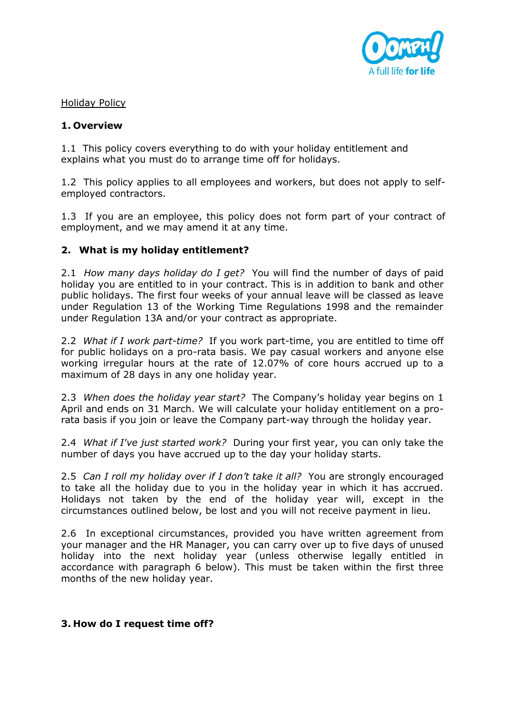

### **Holiday Policy**

## **1. Overview**

1.1 This policy covers everything to do with your holiday entitlement and explains what you must do to arrange time off for holidays.

1.2 This policy applies to all employees and workers, but does not apply to selfemployed contractors.

1.3 If you are an employee, this policy does not form part of your contract of employment, and we may amend it at any time.

### **2. What is my holiday entitlement?**

2.1 *How many days holiday do I get?* You will find the number of days of paid holiday you are entitled to in your contract. This is in addition to bank and other public holidays. The first four weeks of your annual leave will be classed as leave under Regulation 13 of the Working Time Regulations 1998 and the remainder under Regulation 13A and/or your contract as appropriate.

2.2 *What if I work part-time?* If you work part-time, you are entitled to time off for public holidays on a pro-rata basis. We pay casual workers and anyone else working irregular hours at the rate of 12.07% of core hours accrued up to a maximum of 28 days in any one holiday year.

2.3 *When does the holiday year start?* The Company's holiday year begins on 1 April and ends on 31 March. We will calculate your holiday entitlement on a prorata basis if you join or leave the Company part-way through the holiday year.

2.4 *What if I've just started work?* During your first year, you can only take the number of days you have accrued up to the day your holiday starts.

2.5 *Can I roll my holiday over if I don't take it all?* You are strongly encouraged to take all the holiday due to you in the holiday year in which it has accrued. Holidays not taken by the end of the holiday year will, except in the circumstances outlined below, be lost and you will not receive payment in lieu.

2.6 In exceptional circumstances, provided you have written agreement from your manager and the HR Manager, you can carry over up to five days of unused holiday into the next holiday year (unless otherwise legally entitled in accordance with paragraph 6 below). This must be taken within the first three months of the new holiday year.

#### **3. How do I request time off?**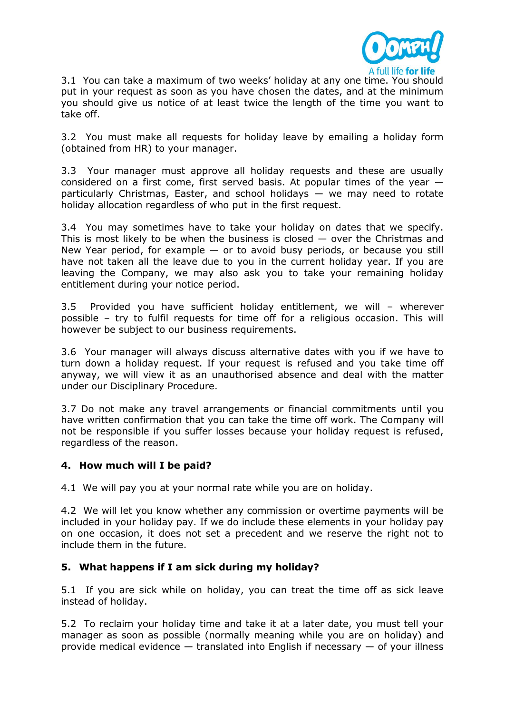

3.1 You can take a maximum of two weeks' holiday at any one time. You should put in your request as soon as you have chosen the dates, and at the minimum you should give us notice of at least twice the length of the time you want to take off.

3.2 You must make all requests for holiday leave by emailing a holiday form (obtained from HR) to your manager.

3.3 Your manager must approve all holiday requests and these are usually considered on a first come, first served basis. At popular times of the year particularly Christmas, Easter, and school holidays — we may need to rotate holiday allocation regardless of who put in the first request.

3.4 You may sometimes have to take your holiday on dates that we specify. This is most likely to be when the business is closed  $-$  over the Christmas and New Year period, for example  $-$  or to avoid busy periods, or because you still have not taken all the leave due to you in the current holiday year. If you are leaving the Company, we may also ask you to take your remaining holiday entitlement during your notice period.

3.5 Provided you have sufficient holiday entitlement, we will – wherever possible – try to fulfil requests for time off for a religious occasion. This will however be subject to our business requirements.

3.6 Your manager will always discuss alternative dates with you if we have to turn down a holiday request. If your request is refused and you take time off anyway, we will view it as an unauthorised absence and deal with the matter under our Disciplinary Procedure.

3.7 Do not make any travel arrangements or financial commitments until you have written confirmation that you can take the time off work. The Company will not be responsible if you suffer losses because your holiday request is refused, regardless of the reason.

#### **4. How much will I be paid?**

4.1 We will pay you at your normal rate while you are on holiday.

4.2 We will let you know whether any commission or overtime payments will be included in your holiday pay. If we do include these elements in your holiday pay on one occasion, it does not set a precedent and we reserve the right not to include them in the future.

# **5. What happens if I am sick during my holiday?**

5.1 If you are sick while on holiday, you can treat the time off as sick leave instead of holiday.

5.2 To reclaim your holiday time and take it at a later date, you must tell your manager as soon as possible (normally meaning while you are on holiday) and provide medical evidence  $-$  translated into English if necessary  $-$  of your illness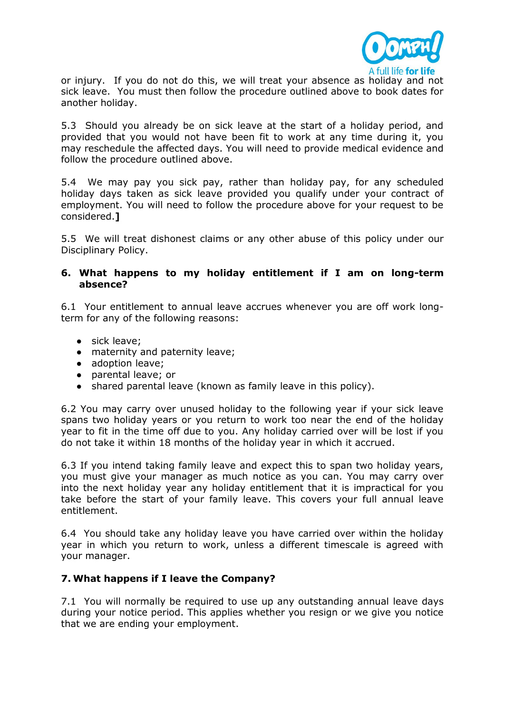

or injury. If you do not do this, we will treat your absence as holiday and not sick leave. You must then follow the procedure outlined above to book dates for another holiday.

5.3 Should you already be on sick leave at the start of a holiday period, and provided that you would not have been fit to work at any time during it, you may reschedule the affected days. You will need to provide medical evidence and follow the procedure outlined above.

5.4 We may pay you sick pay, rather than holiday pay, for any scheduled holiday days taken as sick leave provided you qualify under your contract of employment. You will need to follow the procedure above for your request to be considered.**]**

5.5 We will treat dishonest claims or any other abuse of this policy under our Disciplinary Policy.

#### **6. What happens to my holiday entitlement if I am on long-term absence?**

6.1 Your entitlement to annual leave accrues whenever you are off work longterm for any of the following reasons:

- sick leave;
- maternity and paternity leave;
- adoption leave;
- parental leave; or
- shared parental leave (known as family leave in this policy).

6.2 You may carry over unused holiday to the following year if your sick leave spans two holiday years or you return to work too near the end of the holiday year to fit in the time off due to you. Any holiday carried over will be lost if you do not take it within 18 months of the holiday year in which it accrued.

6.3 If you intend taking family leave and expect this to span two holiday years, you must give your manager as much notice as you can. You may carry over into the next holiday year any holiday entitlement that it is impractical for you take before the start of your family leave. This covers your full annual leave entitlement.

6.4 You should take any holiday leave you have carried over within the holiday year in which you return to work, unless a different timescale is agreed with your manager.

#### **7. What happens if I leave the Company?**

7.1 You will normally be required to use up any outstanding annual leave days during your notice period. This applies whether you resign or we give you notice that we are ending your employment.